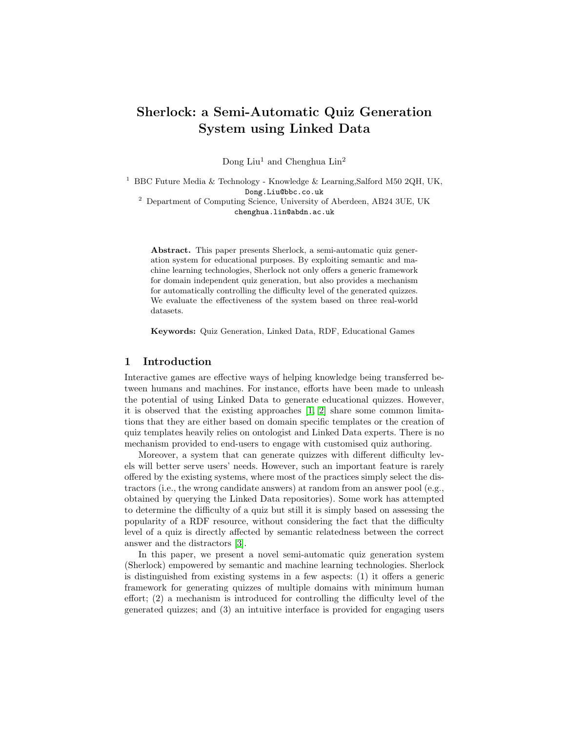# Sherlock: a Semi-Automatic Quiz Generation System using Linked Data

Dong Liu<sup>1</sup> and Chenghua  $\text{Lin}^2$ 

<sup>1</sup> BBC Future Media & Technology - Knowledge & Learning, Salford M50 2QH, UK, Dong.Liu@bbc.co.uk <sup>2</sup> Department of Computing Science, University of Aberdeen, AB24 3UE, UK

chenghua.lin@abdn.ac.uk

Abstract. This paper presents Sherlock, a semi-automatic quiz generation system for educational purposes. By exploiting semantic and machine learning technologies, Sherlock not only offers a generic framework for domain independent quiz generation, but also provides a mechanism for automatically controlling the difficulty level of the generated quizzes. We evaluate the effectiveness of the system based on three real-world datasets.

Keywords: Quiz Generation, Linked Data, RDF, Educational Games

## 1 Introduction

Interactive games are effective ways of helping knowledge being transferred between humans and machines. For instance, efforts have been made to unleash the potential of using Linked Data to generate educational quizzes. However, it is observed that the existing approaches [\[1,](#page-3-0) [2\]](#page-3-1) share some common limitations that they are either based on domain specific templates or the creation of quiz templates heavily relies on ontologist and Linked Data experts. There is no mechanism provided to end-users to engage with customised quiz authoring.

Moreover, a system that can generate quizzes with different difficulty levels will better serve users' needs. However, such an important feature is rarely offered by the existing systems, where most of the practices simply select the distractors (i.e., the wrong candidate answers) at random from an answer pool (e.g., obtained by querying the Linked Data repositories). Some work has attempted to determine the difficulty of a quiz but still it is simply based on assessing the popularity of a RDF resource, without considering the fact that the difficulty level of a quiz is directly affected by semantic relatedness between the correct answer and the distractors [\[3\]](#page-3-2).

In this paper, we present a novel semi-automatic quiz generation system (Sherlock) empowered by semantic and machine learning technologies. Sherlock is distinguished from existing systems in a few aspects: (1) it offers a generic framework for generating quizzes of multiple domains with minimum human effort; (2) a mechanism is introduced for controlling the difficulty level of the generated quizzes; and (3) an intuitive interface is provided for engaging users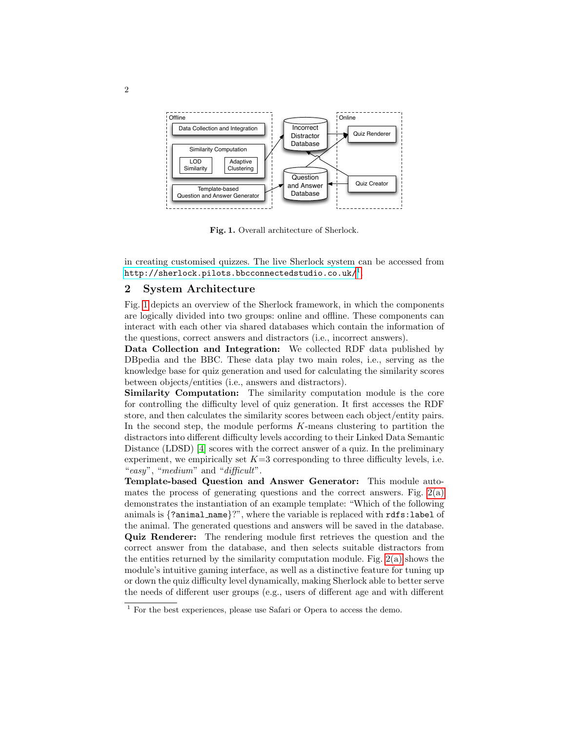

<span id="page-1-1"></span>Fig. 1. Overall architecture of Sherlock.

in creating customised quizzes. The live Sherlock system can be accessed from  $\texttt{http://sherlock.pilots.bbcconnected studio.co.uk/}^1$  $\texttt{http://sherlock.pilots.bbcconnected studio.co.uk/}^1$  .

## 2 System Architecture

Fig. [1](#page-1-1) depicts an overview of the Sherlock framework, in which the components are logically divided into two groups: online and offline. These components can interact with each other via shared databases which contain the information of the questions, correct answers and distractors (i.e., incorrect answers).

Data Collection and Integration: We collected RDF data published by DBpedia and the BBC. These data play two main roles, i.e., serving as the knowledge base for quiz generation and used for calculating the similarity scores between objects/entities (i.e., answers and distractors).

Similarity Computation: The similarity computation module is the core for controlling the difficulty level of quiz generation. It first accesses the RDF store, and then calculates the similarity scores between each object/entity pairs. In the second step, the module performs  $K$ -means clustering to partition the distractors into different difficulty levels according to their Linked Data Semantic Distance (LDSD) [\[4\]](#page-3-3) scores with the correct answer of a quiz. In the preliminary experiment, we empirically set  $K=3$  corresponding to three difficulty levels, i.e. "easy", "medium" and "difficult".

Template-based Question and Answer Generator: This module automates the process of generating questions and the correct answers. Fig.  $2(a)$ demonstrates the instantiation of an example template: "Which of the following animals is {?animal name}?", where the variable is replaced with rdfs:label of the animal. The generated questions and answers will be saved in the database. Quiz Renderer: The rendering module first retrieves the question and the correct answer from the database, and then selects suitable distractors from the entities returned by the similarity computation module. Fig. [2\(a\)](#page-2-0) shows the module's intuitive gaming interface, as well as a distinctive feature for tuning up or down the quiz difficulty level dynamically, making Sherlock able to better serve the needs of different user groups (e.g., users of different age and with different

<span id="page-1-0"></span><sup>&</sup>lt;sup>1</sup> For the best experiences, please use Safari or Opera to access the demo.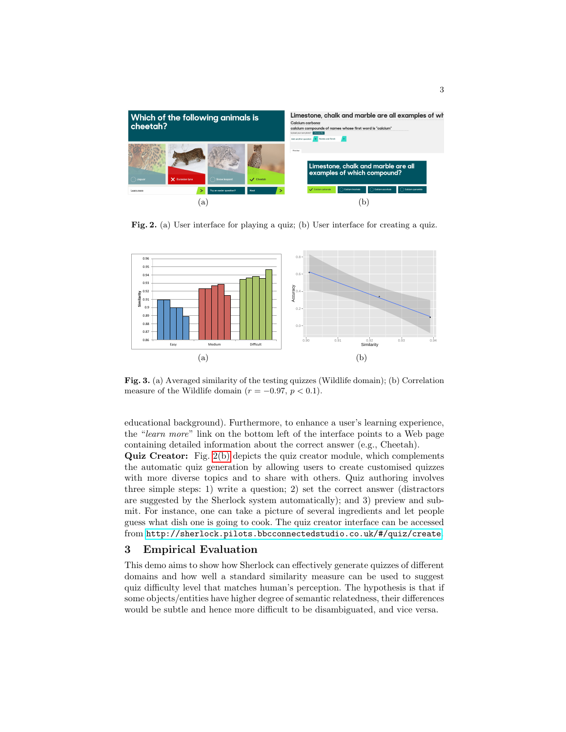<span id="page-2-0"></span>

<span id="page-2-1"></span>Fig. 2. (a) User interface for playing a quiz; (b) User interface for creating a quiz.

<span id="page-2-2"></span>

<span id="page-2-3"></span>Fig. 3. (a) Averaged similarity of the testing quizzes (Wildlife domain); (b) Correlation measure of the Wildlife domain ( $r = -0.97, p < 0.1$ ).

educational background). Furthermore, to enhance a user's learning experience, the "learn more" link on the bottom left of the interface points to a Web page containing detailed information about the correct answer (e.g., Cheetah).

Quiz Creator: Fig. [2\(b\)](#page-2-1) depicts the quiz creator module, which complements the automatic quiz generation by allowing users to create customised quizzes with more diverse topics and to share with others. Quiz authoring involves three simple steps: 1) write a question; 2) set the correct answer (distractors are suggested by the Sherlock system automatically); and 3) preview and submit. For instance, one can take a picture of several ingredients and let people guess what dish one is going to cook. The quiz creator interface can be accessed from <http://sherlock.pilots.bbcconnectedstudio.co.uk/#/quiz/create>.

### 3 Empirical Evaluation

This demo aims to show how Sherlock can effectively generate quizzes of different domains and how well a standard similarity measure can be used to suggest quiz difficulty level that matches human's perception. The hypothesis is that if some objects/entities have higher degree of semantic relatedness, their differences would be subtle and hence more difficult to be disambiguated, and vice versa.